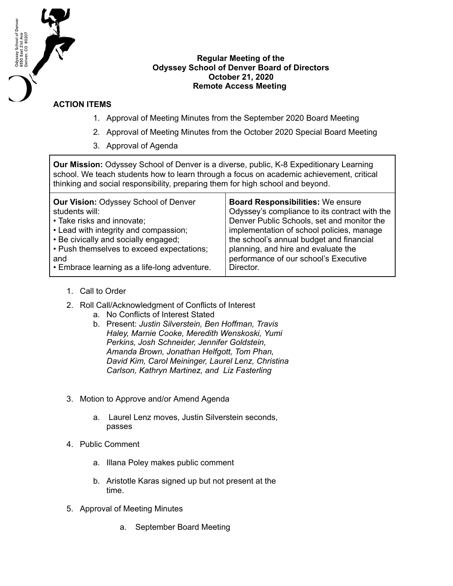

## **Regular Meeting of the Odyssey School of Denver Board of Directors October 21, 2020 Remote Access Meeting**

## **ACTION ITEMS**

- 1. Approval of Meeting Minutes from the September 2020 Board Meeting
- 2. Approval of Meeting Minutes from the October 2020 Special Board Meeting
- 3. Approval of Agenda

**Our Mission:** Odyssey School of Denver is a diverse, public, K-8 Expeditionary Learning school. We teach students how to learn through a focus on academic achievement, critical thinking and social responsibility, preparing them for high school and beyond.

| <b>Our Vision: Odyssey School of Denver</b>  | <b>Board Responsibilities: We ensure</b>      |
|----------------------------------------------|-----------------------------------------------|
| students will:                               | Odyssey's compliance to its contract with the |
| • Take risks and innovate;                   | Denver Public Schools, set and monitor the    |
| • Lead with integrity and compassion;        | implementation of school policies, manage     |
| • Be civically and socially engaged;         | the school's annual budget and financial      |
| • Push themselves to exceed expectations;    | planning, and hire and evaluate the           |
| and                                          | performance of our school's Executive         |
| • Embrace learning as a life-long adventure. | Director.                                     |

- 1. Call to Order
- 2. Roll Call/Acknowledgment of Conflicts of Interest
	- a. No Conflicts of Interest Stated
	- b. Present: *Justin Silverstein, Ben Hoffman, Travis Haley, Marnie Cooke, Meredith Wenskoski, Yumi Perkins, Josh Schneider, Jennifer Goldstein, Amanda Brown, Jonathan Helfgott, Tom Phan, David Kim, Carol Meininger, Laurel Lenz, Christina Carlson, Kathryn Martinez, and Liz Fasterling*
- 3. Motion to Approve and/or Amend Agenda
	- a. Laurel Lenz moves, Justin Silverstein seconds, passes
- 4. Public Comment
	- a. Illana Poley makes public comment
	- b. Aristotle Karas signed up but not present at the time.
- 5. Approval of Meeting Minutes
	- a. September Board Meeting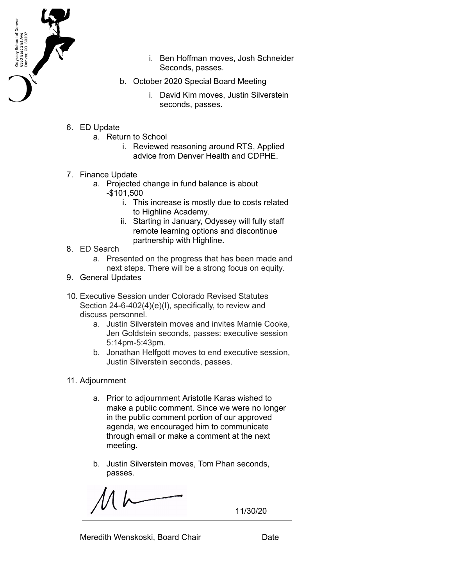

- i. Ben Hoffman moves, Josh Schneider Seconds, passes.
- b. October 2020 Special Board Meeting
	- i. David Kim moves, Justin Silverstein seconds, passes.
- 6. ED Update
	- a. Return to School
		- i. Reviewed reasoning around RTS, Applied advice from Denver Health and CDPHE.
- 7. Finance Update
	- a. Projected change in fund balance is about -\$101,500
		- i. This increase is mostly due to costs related to Highline Academy.
		- ii. Starting in January, Odyssey will fully staff remote learning options and discontinue partnership with Highline.
- 8. ED Search
	- a. Presented on the progress that has been made and next steps. There will be a strong focus on equity.
- 9. General Updates
- 10. Executive Session under Colorado Revised Statutes Section 24-6-402(4)(e)(I), specifically, to review and discuss personnel.
	- a. Justin Silverstein moves and invites Marnie Cooke, Jen Goldstein seconds, passes: executive session 5:14pm-5:43pm.
	- b. Jonathan Helfgott moves to end executive session, Justin Silverstein seconds, passes.
- 11. Adjournment
	- a. Prior to adjournment Aristotle Karas wished to make a public comment. Since we were no longer in the public comment portion of our approved agenda, we encouraged him to communicate through email or make a comment at the next meeting.
	- b. Justin Silverstein moves, Tom Phan seconds, passes.

11/30/20